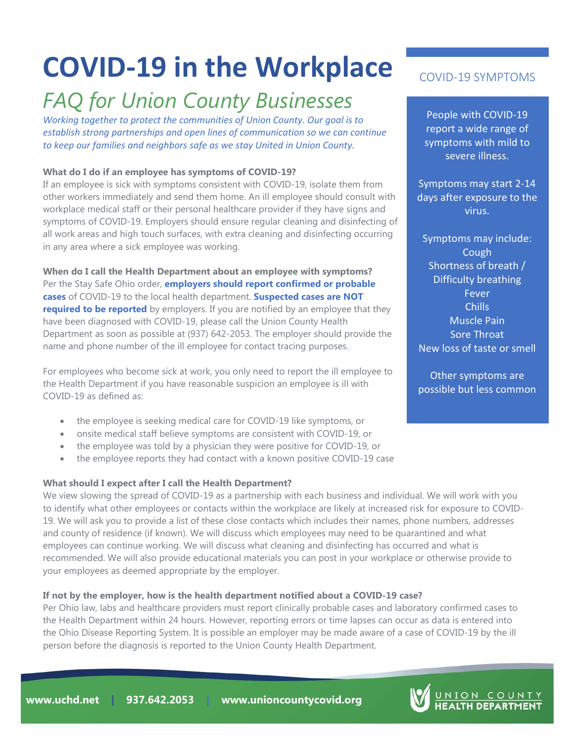# **COVID-19 in the Workplace**

# *FAQ for Union County Businesses*

*Working together to protect the communities of Union County. Our goal is to establish strong partnerships and open lines of communication so we can continue to keep our families and neighbors safe as we stay United in Union County.* 

# **What do I do if an employee has symptoms of COVID-19?**

If an employee is sick with symptoms consistent with COVID-19, isolate them from other workers immediately and send them home. An ill employee should consult with workplace medical staff or their personal healthcare provider if they have signs and symptoms of COVID-19. Employers should ensure regular cleaning and disinfecting of all work areas and high touch surfaces, with extra cleaning and disinfecting occurring in any area where a sick employee was working.

**When do I call the Health Department about an employee with symptoms?** Per the Stay Safe Ohio order, **employers should report confirmed or probable cases** of COVID-19 to the local health department. **Suspected cases are NOT required to be reported** by employers. If you are notified by an employee that they have been diagnosed with COVID-19, please call the Union County Health Department as soon as possible at (937) 642-2053. The employer should provide the name and phone number of the ill employee for contact tracing purposes.

For employees who become sick at work, you only need to report the ill employee to the Health Department if you have reasonable suspicion an employee is ill with COVID-19 as defined as:

- the employee is seeking medical care for COVID-19 like symptoms, or
- onsite medical staff believe symptoms are consistent with COVID-19, or
- the employee was told by a physician they were positive for COVID-19, or
- the employee reports they had contact with a known positive COVID-19 case

# **What should I expect after I call the Health Department?**

We view slowing the spread of COVID-19 as a partnership with each business and individual. We will work with you to identify what other employees or contacts within the workplace are likely at increased risk for exposure to COVID-19. We will ask you to provide a list of these close contacts which includes their names, phone numbers, addresses and county of residence (if known). We will discuss which employees may need to be quarantined and what employees can continue working. We will discuss what cleaning and disinfecting has occurred and what is recommended. We will also provide educational materials you can post in your workplace or otherwise provide to your employees as deemed appropriate by the employer.

# **If not by the employer, how is the health department notified about a COVID-19 case?**

Per Ohio law, labs and healthcare providers must report clinically probable cases and laboratory confirmed cases to the Health Department within 24 hours. However, reporting errors or time lapses can occur as data is entered into the Ohio Disease Reporting System. It is possible an employer may be made aware of a case of COVID-19 by the ill person before the diagnosis is reported to the Union County Health Department.

# COVID-19 SYMPTOMS

People with COVID-19 report a wide range of symptoms with mild to severe illness.

Symptoms may start 2-14 days after exposure to the virus.

Symptoms may include: Cough Shortness of breath / Difficulty breathing Fever Chills Muscle Pain Sore Throat New loss of taste or smell

Other symptoms are possible but less common

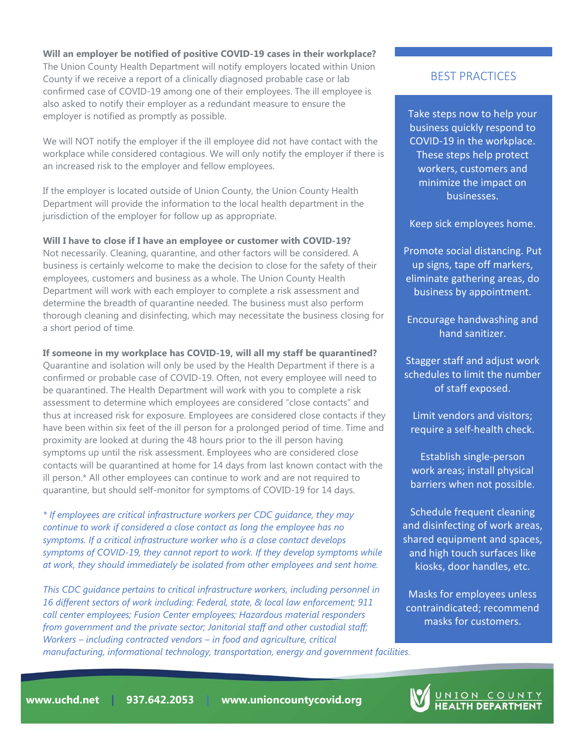#### **Will an employer be notified of positive COVID-19 cases in their workplace?**

The Union County Health Department will notify employers located within Union County if we receive a report of a clinically diagnosed probable case or lab confirmed case of COVID-19 among one of their employees. The ill employee is also asked to notify their employer as a redundant measure to ensure the employer is notified as promptly as possible.

We will NOT notify the employer if the ill employee did not have contact with the workplace while considered contagious. We will only notify the employer if there is an increased risk to the employer and fellow employees.

If the employer is located outside of Union County, the Union County Health Department will provide the information to the local health department in the jurisdiction of the employer for follow up as appropriate.

#### **Will I have to close if I have an employee or customer with COVID-19?**

Not necessarily. Cleaning, quarantine, and other factors will be considered. A business is certainly welcome to make the decision to close for the safety of their employees, customers and business as a whole. The Union County Health Department will work with each employer to complete a risk assessment and determine the breadth of quarantine needed. The business must also perform thorough cleaning and disinfecting, which may necessitate the business closing for a short period of time.

#### **If someone in my workplace has COVID-19, will all my staff be quarantined?**

Quarantine and isolation will only be used by the Health Department if there is a confirmed or probable case of COVID-19. Often, not every employee will need to be quarantined. The Health Department will work with you to complete a risk assessment to determine which employees are considered "close contacts" and thus at increased risk for exposure. Employees are considered close contacts if they have been within six feet of the ill person for a prolonged period of time. Time and proximity are looked at during the 48 hours prior to the ill person having symptoms up until the risk assessment. Employees who are considered close contacts will be quarantined at home for 14 days from last known contact with the ill person.\* All other employees can continue to work and are not required to quarantine, but should self-monitor for symptoms of COVID-19 for 14 days.

*\* If employees are critical infrastructure workers per CDC guidance, they may continue to work if considered a close contact as long the employee has no symptoms. If a critical infrastructure worker who is a close contact develops symptoms of COVID-19, they cannot report to work. If they develop symptoms while at work, they should immediately be isolated from other employees and sent home.* 

*This CDC guidance pertains to critical infrastructure workers, including personnel in 16 different sectors of work including: Federal, state, & local law enforcement; 911 call center employees; Fusion Center employees; Hazardous material responders from government and the private sector; Janitorial staff and other custodial staff; Workers – including contracted vendors – in food and agriculture, critical manufacturing, informational technology, transportation, energy and government facilities.*

# BEST PRACTICES

Take steps now to help your business quickly respond to COVID-19 in the workplace. These steps help protect workers, customers and minimize the impact on businesses.

Keep sick employees home.

Promote social distancing. Put up signs, tape off markers, eliminate gathering areas, do business by appointment.

Encourage handwashing and hand sanitizer.

Stagger staff and adjust work schedules to limit the number of staff exposed.

Limit vendors and visitors; require a self-health check.

Establish single-person work areas; install physical barriers when not possible.

Schedule frequent cleaning and disinfecting of work areas, shared equipment and spaces, and high touch surfaces like kiosks, door handles, etc.

Masks for employees unless contraindicated; recommend masks for customers.